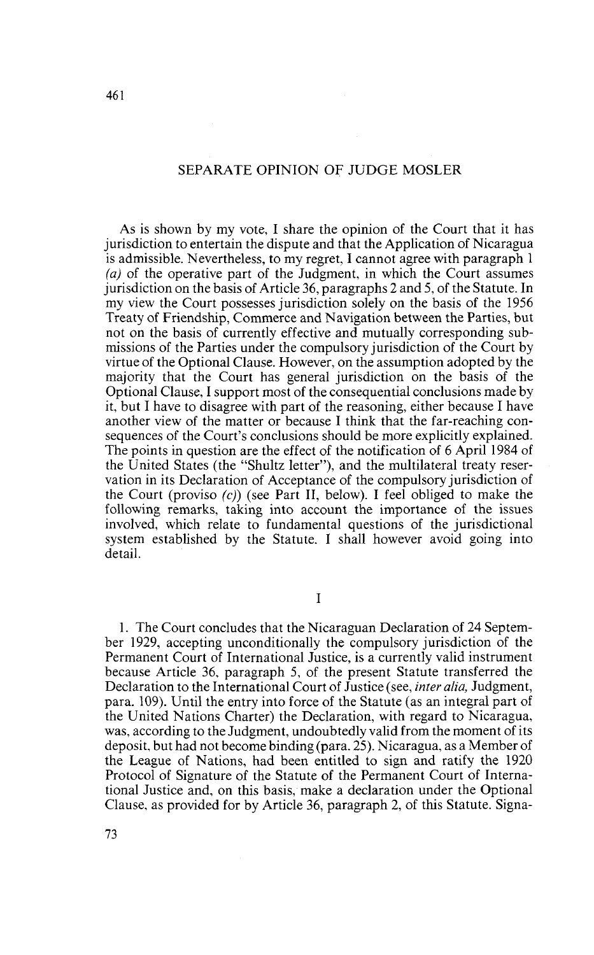### SEPARATE OPINION OF JUDGE MOSLER

As is shown by my vote, 1 share the opinion of the Court that it has jurisdiction to entertain the dispute and that the Application of Nicaragua is admissible. Nevertheless, to my regret, 1 cannot agree with paragraph 1 *(a)* of the operative part of the Judgment, in which the Court assumes jurisdiction on the basis of Article 36, paragraphs 2 and 5, of the Statute. In my view the Court possesses jurisdiction solely on the basis of the 1956 Treaty of Friendship, Commerce and Navigation between the Parties, but not on the basis of currently effective and mutually corresponding submissions of the Parties under the compulsory jurisdiction of the Court by virtue of the Optional Clause. However, on the assumption adopted by the majority that the Court has general jurisdiction on the basis of the Optional Clause, **1** support most of the consequential conclusions made by it, but 1 have to disagree with part of the reasoning, either because 1 have another view of the matter or because 1 think that the far-reaching consequences of the Court's conclusions should be more explicitly explained. The points in question are the effect of the notification of 6 April 1984 of the United States (the "Shultz letter"), and the multilateral treaty reservation in its Declaration of Acceptance of the compulsory jurisdiction of the Court (proviso  $(c)$ ) (see Part II, below). I feel obliged to make the following remarks, taking into account the importance of the issues involved, which relate to fundamental questions of the jurisdictional system established by the Statute. 1 shall however avoid going into detail.

I

1. The Court concludes that the Nicaraguan Declaration of 24 September 1929, accepting unconditionally the compulsory jurisdiction of the Permanent Court of International Justice, is a currently valid instrument because Article 36, paragraph 5, of the present Statute transferred the Declaration to the International Court of Justice (see, *inter alia,* Judgment, para. *109).* Until the entry into force of the Statute (as an integral part of the United Nations Charter) the Declaration, with regard to Nicaragua, was, according to the Judgment, undoubtedly valid from the moment of its deposit, but had not become binding (para. 25). Nicaragua, as a Member of the League of Nations, had been entitled to sign and ratify the 1920 Protocol of Signature of the Statute of the Permanent Court of International Justice and, on this basis, make a declaration under the Optional Clause, as provided for by Article 36, paragraph 2, of this Statute. Signa-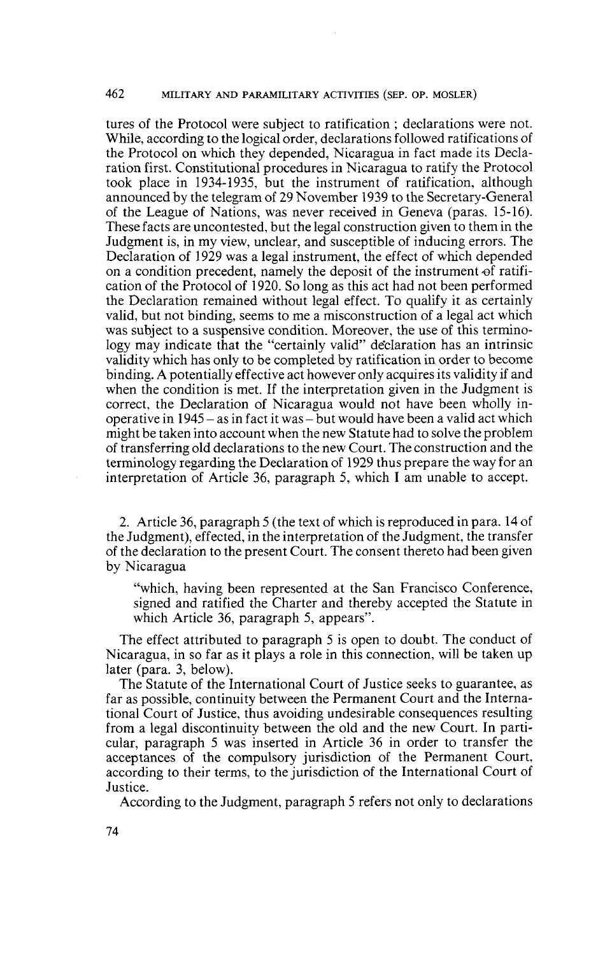tures of the Protocol were subject to ratification ; declarations were not. While, according to the logical order, declarations followed ratifications of the Protocol on which they depended, Nicaragua in fact made its Declaration first. Constitutional procedures in Nicaragua to ratify the Protocol took place in 1934-1935, but the instrument of ratification, although announced by the telegram of 29 November 1939 to the Secretary-General of the League of Nations, was never received in Geneva (paras. 15-16). These facts are uncontested, but the legal construction given to them in the Judgment is, in my view, unclear, and susceptible of inducing errors. The Declaration of 1929 was a legal instrument, the effect of which depended on a condition precedent, namely the deposit of the instrument of ratification of the Protocol of 1920. So long as this act had not been performed the Declaration remained without legal effect. To qualify it as certainly valid, but not binding, seems to me a misconstruction of a legal act which was subject to a suspensive condition. Moreover, the use of this terminology may indicate that the "certainly valid" declaration has an intrinsic validity which has only to be completed by ratification in order to become binding. A potentially effective act however only acquires its validity if and when the condition is met. If the interpretation given in the Judgment is correct, the Declaration of Nicaragua would not have been wholly inoperative in 1945 - as in fact it was - but would have been a valid act which might be taken into account when the new Statute had to solve the problem of transferring old declarations to the new Court. The construction and the terminology regarding the Declaration of 1929 thus prepare the way for an interpretation of Article 36, paragraph 5, which 1 am unable to accept.

2. Article 36, paragraph 5 (the text of which is reproduced in para. 14 of the Judgment), effected, in the interpretation of the Judgment, the transfer of the declaration to the present Court. The consent thereto had been given by Nicaragua

"which, having been represented at the San Francisco Conference, signed and ratified the Charter and thereby accepted the Statute in which Article 36, paragraph 5, appears".

The effect attributed to paragraph 5 is open to doubt. The conduct of Nicaragua, in so far as it plays a role in this connection, will be taken up later (para. 3, below).

The Statute of the International Court of Justice seeks to guarantee, as far as possible, continuity between the Permanent Court and the International Court of Justice, thus avoiding undesirable consequences resulting from a legal discontinuity between the old and the new Court. In particular, paragraph 5 was inserted in Article 36 in order to transfer the acceptances of the compulsory jurisdiction of the Permanent Court, according to their terms, to the jurisdiction of the International Court of Justice.

According to the Judgment, paragraph 5 refers not only to declarations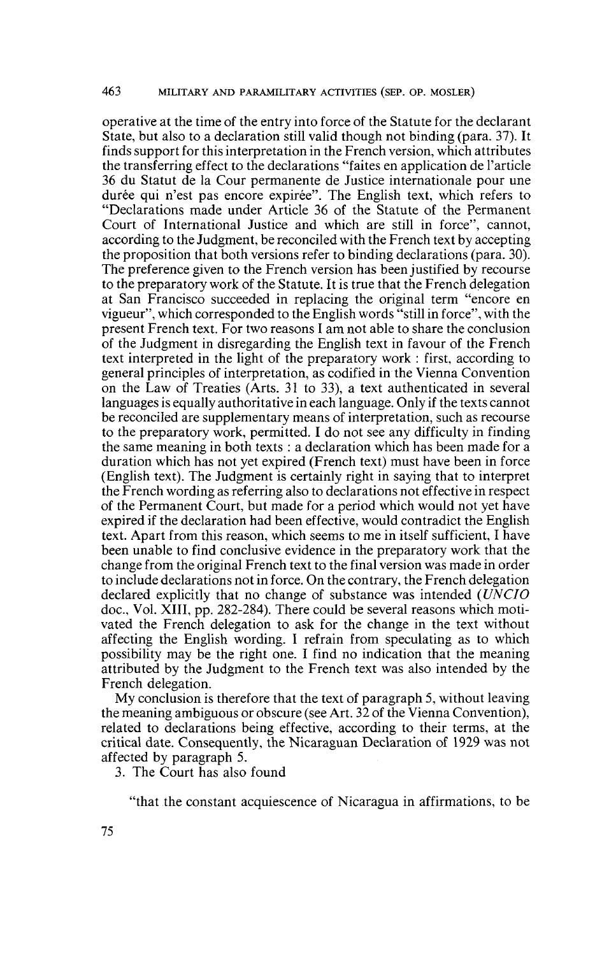operative at the time of the entry into force of the Statute for the declarant State, but also to a declaration still valid though not binding (para. 37). It finds support for this interpretation in the French version, which attributes the transferring effect to the declarations "faites en application de l'article 36 du Statut de la Cour permanente de Justice internationale pour une durée qui n'est pas encore expirée". The English text, which refers to "Declarations made under Article 36 of the Statute of the Permanent Court of International Justice and which are still in force", cannot, according to the Judgment, be reconciled with the French text by accepting the proposition that both versions refer to binding declarations (para. 30). The preference given to the French version has been justified by recourse to the preparatory work of the Statute. It is true that the French delegation at San Francisco succeeded in replacing the original term "encore en vigueur", which corresponded to the English words "still in force", with the present French text. For two reasons 1 am not able to share the conclusion of the Judgment in disregarding the English text in favour of the French text interpreted in the light of the preparatory work : first, according to general principles of interpretation, as codified in the Vienna Convention on the Law of Treaties (Arts. 31 to 33), a text authenticated in several languages is equally authoritative in each language. Only if the texts cannot be reconciled are supplementary means of interpretation, such as recourse to the preparatory work, permitted. 1 do not see any difficulty in finding the same meaning in both texts : a declaration which has been made for a duration which has not yet expired (French text) must have been in force (English text). The Judgment is certainly right in saying that to interpret the French wording as referring also to declarations not effective in respect of the Permanent Court, but made for a period which would not yet have expired if the declaration had been effective, would contradict the English text. Apart from this reason, which seems to me in itself sufficient, 1 have been unable to find conclusive evidence in the preparatory work that the change from the original French text to the final version was made in order to include declarations not in force. On the contrary, the French delegation declared explicitly that no change of substance was intended *(UNCZO*  doc., Vol. XIII, pp. 282-284). There could be several reasons which motivated the French delegation to ask for the change in the text without affecting the English wording. 1 refrain from speculating as to which possibility may be the right one. 1 find no indication that the meaning attributed by the Judgment to the French text was also intended by the French delegation.

My conclusion is therefore that the text of paragraph 5, without leaving the meaning ambiguous or obscure (see Art. 32 of the Vienna Convention), related to declarations being effective, according to their terms, at the critical date. Consequently, the Nicaraguan Declaration of 1929 was not affected by paragraph 5.

3. The Court has also found

"that the constant acquiescence of Nicaragua in affirmations, to be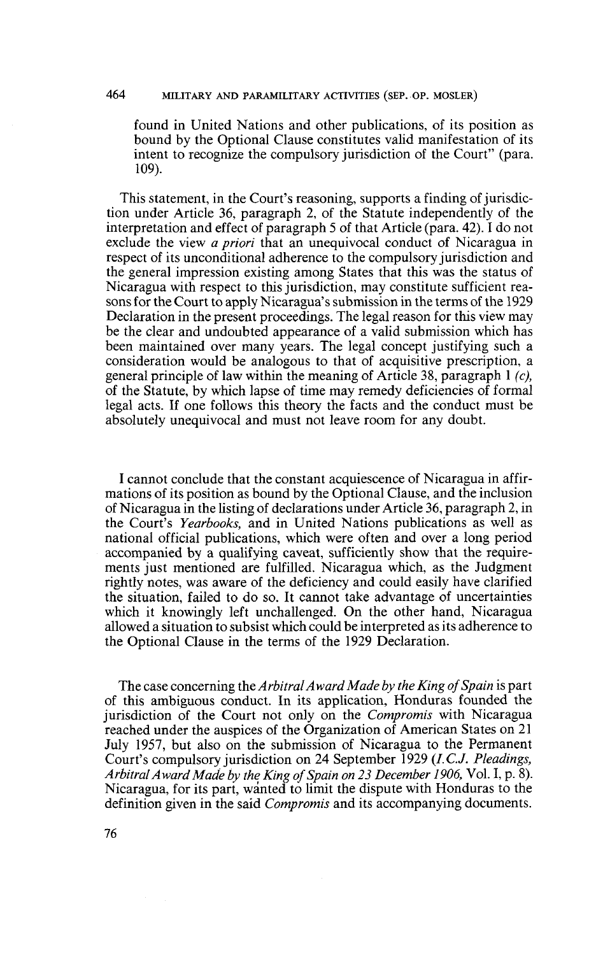found in United Nations and other publications, of its position as bound by the Optional Clause constitutes valid manifestation of its intent to recognize the compulsory jurisdiction of the Court" (para. 109).

This statement, in the Court's reasoning, supports a finding of jurisdiction under Article 36, paragraph 2, of the Statute independently of the interpretation and effect of paragraph 5 of that Article (para. 42). **1** do not exclude the view *a priori* that an unequivocal conduct of Nicaragua in respect of its unconditional adherence to the compulsory jurisdiction and the general impression existing among States that this was the status of Nicaragua with respect to this jurisdiction, may constitute sufficient reasons for the Court to apply Nicaragua's submission in the terms of the 1929 Declaration in the present proceedings. The legal reason for this view may be the clear and undoubted appearance of a valid submission which has been maintained over many years. The legal concept justifying such a consideration would be analogous to that of acquisitive prescription, a general principle of law within the meaning of Article 38, paragraph 1 *(c),*  of the Statute, by which lapse of time may remedy deficiencies of formal legal acts. If one follows this theory the facts and the conduct must be absolutely unequivocal and must not leave room for any doubt.

**1** cannot conclude that the constant acquiescence of Nicaragua in affirmations of its position as bound by the Optional Clause, and the inclusion of Nicaragua in the listing of declarations under Article 36, paragraph 2, in the Court's *Yearbooks,* and in United Nations publications as well as national officia1 publications, which were often and over a long period accompanied by a qualifying caveat, sufficiently show that the requirements just mentioned are fulfilled. Nicaragua which, as the Judgment rightly notes, was aware of the deficiency and could easily have clarified the situation, failed to do so. It cannot take advantage of uncertainties which it knowingly left unchallenged. On the other hand, Nicaragua allowed a situation to subsist which could be interpreted as its adherence to the Optional Clause in the terms of the 1929 Declaration.

The case concerning the *Arbitral Award Made by the King of Spain* is part of this ambiguous conduct. In its application, Honduras founded the jurisdiction of the Court not only on the *Compromis* with Nicaragua reached under the auspices of the Organization of American States on 21 July 1957, but also on the submission of Nicaragua to the Permanent Court's compulsory jurisdiction on 24 September 1929 **(1.** *C.J. Pleadings, Arbitral Award Made by the King of Spain on 23 December 1906,* Vol. **1,** p. 8). Nicaragua, for its part, wanted to limit the dispute with Honduras to the definition given in the said *Compromis* and its accompanying documents.

76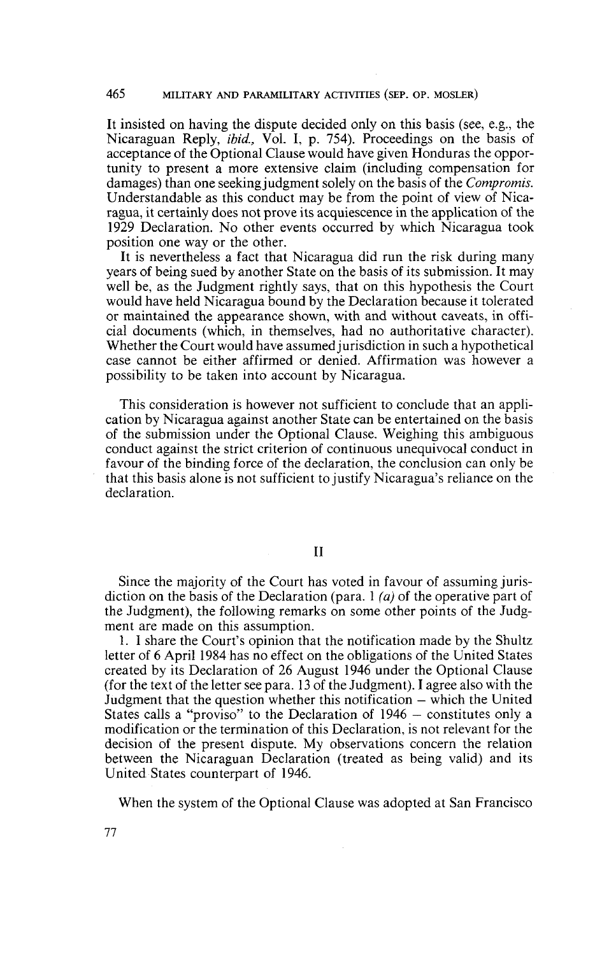It insisted on having the dispute decided only on this basis (see, e.g., the Nicaraguan Reply, **ibid.,** Vol. **1,** p. 754). Proceedings on the basis of acceptance of the Optional Clause would have given Honduras the opportunity to present a more extensive claim (including compensation for damages) than one seeking judgment solely on the basis of the *Compromis*. Understandable as this conduct may be from the point of view of Nicaragua, it certainly does not prove its acquiescence in the application of the 1929 Declaration. No other events occurred by which Nicaragua took position one way or the other.

It is nevertheless a fact that Nicaragua did run the risk during many years of being sued by another State on the basis of its submission. It may well be, as the Judgment rightly says, that on this hypothesis the Court would have held Nicaragua bound by the Declaration because it tolerated or maintained the appearance shown, with and without caveats, in official documents (which, in themselves, had no authoritative character). Whether the Court would have assumed jurisdiction in such a hypothetical case cannot be either affirmed or denied. Affirmation was however a possibility to be taken into account by Nicaragua.

This consideration is however not sufficient to conclude that an application by Nicaragua against another State can be entertained on the basis of the subrnission under the Optional Clause. Weighing this ambiguous conduct against the strict criterion of continuous unequivocal conduct in favour of the binding force of the declaration, the conclusion can only be that this basis alone is not sufficient to justify Nicaragua's reliance on the declaration.

### $\mathbf{I}$

Since the majority of the Court has voted in favour of assuming jurisdiction on the basis of the Declaration (para. 1 (a) of the operative part of the Judgment), the following remarks on some other points of the Judgment are made on this assumption.

1. **1** share the Court's opinion that the notification made by the Shultz letter of 6 April 1984 has no effect on the obligations of the United States created by its Declaration of 26 August 1946 under the Optional Clause (for the text of the letter see para. 13 of the Judgment). **1** agree also with the Judgment that the question whether this notification  $-$  which the United States calls a "proviso" to the Declaration of 1946 - constitutes only a modification or the termination of this Declaration, is not relevant for the decision of the present dispute. My observations concern the relation between the Nicaraguan Declaration (treated as being valid) and its United States counterpart of 1946.

When the system of the Optional Clause was adopted at San Francisco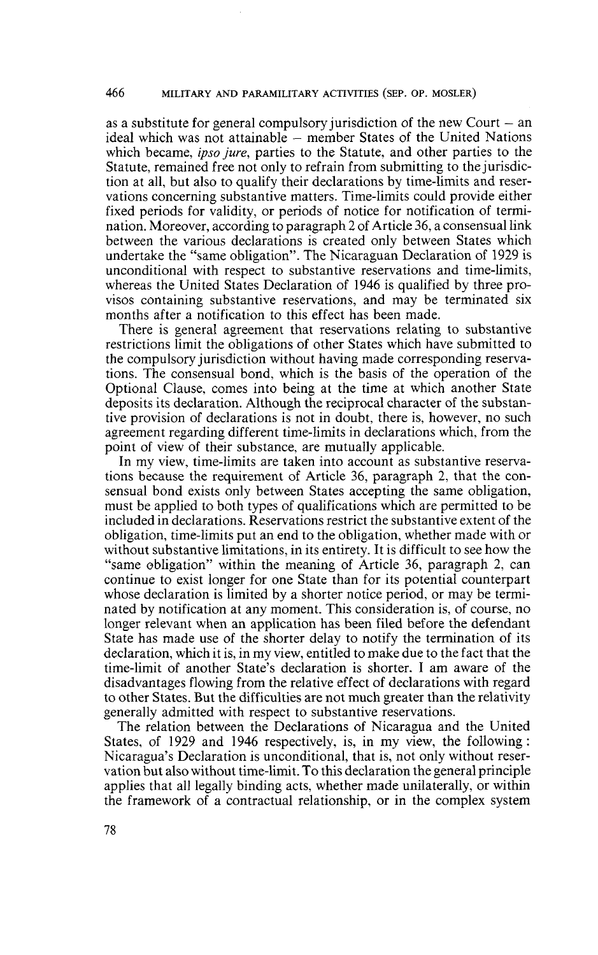as a substitute for general compulsory jurisdiction of the new Court  $-$  an ideal which was not attainable – member States of the United Nations which became, *ipso jure,* parties to the Statute, and other parties to the Statute, remained free not only to refrain from submitting to the jurisdiction at all, but also to qualify their declarations by time-limits and reservations concerning substantive matters. Time-limits could provide either fixed periods for validity, or periods of notice for notification of termination. Moreover, according to paragraph 2 of Article 36, a consensual link between the various declarations is created only between States which undertake the "same obligation". The Nicaraguan Declaration of 1929 is unconditional with respect to substantive reservations and time-limits, whereas the United States Declaration of 1946 is qualified by three provisos containing substantive reservations, and may be terminated six months after a notification to this effect has been made.

There is general agreement that reservations relating to substantive restrictions limit the obligations of other States which have subrnitted to the compulsory jurisdiction without having made corresponding reservations. The consensual bond, which is the basis of the operation of the Optional Clause, comes into being at the time at which another State deposits its declaration. Although the reciprocal character of the substantive provision of declarations is not in doubt, there is, however, no such agreement regarding different time-limits in declarations which, from the point of view of their substance, are mutually applicable.

In my view, time-limits are taken into account as substantive reservations because the requirement of Article 36, paragraph 2, that the consensual bond exists only between States accepting the same obligation, must be applied to both types of qualifications which are permitted to be included in declarations. Reservations restrict the substantive extent of the obligation, time-limits put an end to the obligation, whether made with or without substantive limitations, in its entirety. It is difficult to see how the "same obligation" within the meaning of Article 36, paragraph 2, can continue to exist longer for one State than for its potential counterpart whose declaration is limited by a shorter notice period, or may be terminated by notification at any moment. This consideration is, of course, no longer relevant when an application has been filed before the defendant State has made use of the shorter delay to notify the termination of its declaration, which it is, in my view, entitled to make due to the fact that the time-limit of another State's declaration is shorter. **1** am aware of the disadvantages flowing from the relative effect of declarations with regard to other States. But the difficulties are not much greater than the relativity generally admitted with respect to substantive reservations.

The relation between the Declarations of Nicaragua and the United States, of 1929 and 1946 respectively, is, in my view, the following : Nicaragua's Declaration is unconditional, that is, not only without reservation but also without time-limit. To this declaration the general principle applies that al1 legally binding acts, whether made unilaterally, or within the framework of a contractual relationship, or in the complex system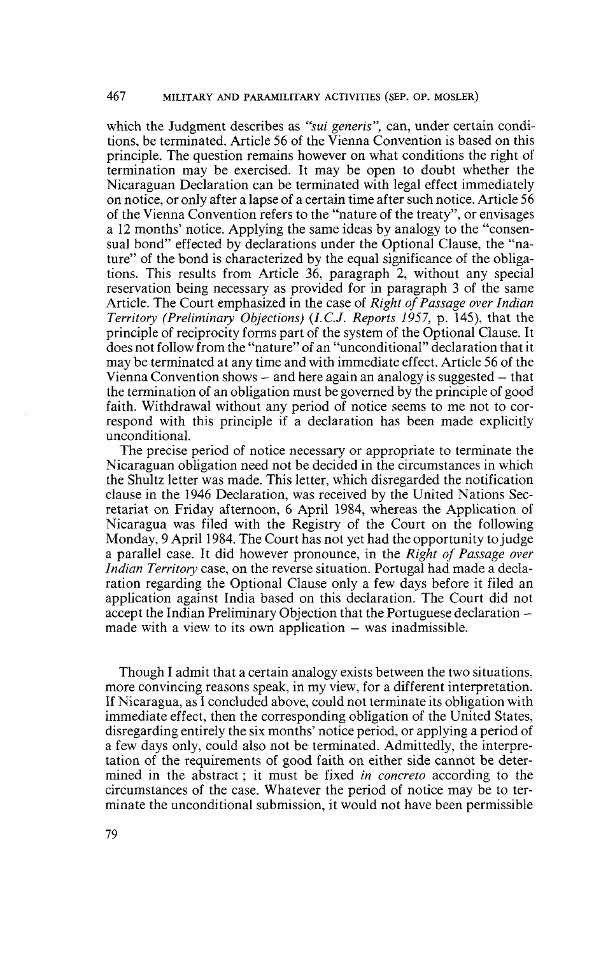which the Judgment describes as *"sui generis",* can, under certain conditions, be terminated. Article 56 of the Vienna Convention is based on this principle. The question remains however on what conditions the right of termination may be exercised. It may be open to doubt whether the Nicaraguan Declaration can be terminated with legal effect immediately on notice, or only after a lapse of a certain time after such notice. Article 56 of the Vienna Convention refers to the "nature of the treaty", or envisages a 12 months' notice. Applying the same ideas by analogy to the "consensua1 bond" effected by declarations under the Optional Clause, the "nature" of the bond is characterized by the equal significance of the obligations. This results from Article 36, paragraph 2, without any special reservation being necessary as provided for in paragraph 3 of the same Article. The Court emphasized in the case of *Right of Passage over Indian Territory (Preliminary Objections) (I.C.J. Reports 1957,* p. 145), that the principle of reciprocity forms part of the system of the Optional Clause. It does not follow from the "nature" of an "unconditional" declaration that it may be terminated at any time and with immediate effect. Article 56 of the Vienna Convention shows  $-\frac{1}{2}$  and here again an analogy is suggested  $-\frac{1}{2}$  that the termination of an obligation must be governed by the principle of good faith. Withdrawal without any period of notice seems to me not to correspond with this principle if a declaration has been made explicitly unconditional.

The precise period of notice necessary or appropriate to terminate the Nicaraguan obligation need not be decided in the circumstances in which the Shultz letter was made. This letter, which disregarded the notification clause in the 1946 Declaration, was received by the United Nations Secretariat on Friday afternoon, 6 April 1984, whereas the Application of Nicaragua was filed with the Registry of the Court on the following Monday, 9 April 1984. The Court has not yet had the opportunity to judge a parallel case. It did however pronounce, in the *Right of Passage over Indian Territory* case, on the reverse situation. Portugal had made a declaration regarding the Optional Clause only a few days before it filed an application against India based on this declaration. The Court did not accept the Indian Preliminary Objection that the Portuguese declaration  $-$  made with a view to its own application  $-$  was inadmissible.

Though 1 admit that a certain analogy exists between the two situations, more convincing reasons speak, in my view, for a different interpretation. If Nicaragua, as 1 concluded above, could not terminate its obligation with immediate effect, then the corresponding obligation of the United States, disregarding entirely the six months' notice period, or applying a period of a few days only, could also not be terminated. Admittedly, the interpretation of the requirements of good faith on either side cannot be determined in the abstract; it must be fixed *in concreto* according to the circumstances of the case. Whatever the period of notice may be to terminate the unconditional submission, it would not have been permissible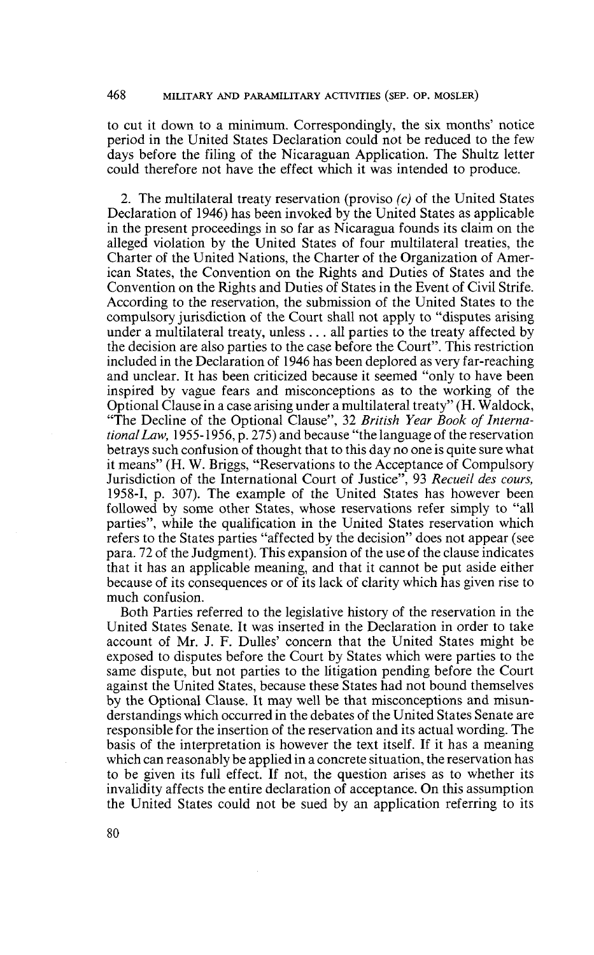to cut it down to a minimum. Correspondingly, the six months' notice period in the United States Declaration could not be reduced to the few days before the filing of the Nicaraguan Application. The Shultz letter could therefore not have the effect which it was intended to produce.

2. The multilateral treaty reservation (proviso  $(c)$  of the United States Declaration of 1946) has been invoked by the United States as applicable in the present proceedings in so far as Nicaragua founds its claim on the alleged violation by the United States of four multilateral treaties, the Charter of the United Nations, the Charter of the Organization of American States, the Convention on the Rights and Duties of States and the Convention on the Rights and Duties of States in the Event of Civil Strife. According to the reservation, the submission of the United States to the compulsory jurisdiction of the Court shall not apply to "disputes arising under a multilateral treaty, unless . . . all parties to the treaty affected by the decision are also parties to the case before the Court". This restriction included in the Declaration of 1946 has been deplored as very far-reaching and unclear. It has been criticized because it seemed "only to have been inspired by vague fears and misconceptions as to the working of the Optional Clause in a case arising under a multilateral treaty" (H. Waldock, "The Decline of the Optional Clause", 32 *British Year Book of International Law,* 1955- 1956, p. 275) and because "the language of the reservation betrays such confusion of thought that to this day no one is quite sure what it means" (H. W. Briggs, "Reservations to the Acceptance of Compulsory Jurisdiction of the International Court of Justice", 93 *Recueil des cours,*  1958-1, p. 307). The example of the United States has however been followed by some other States, whose reservations refer simply to "al1 parties", while the qualification in the United States reservation which refers to the States parties "affected by the decision" does not appear (see para. 72 of the Judgment). This expansion of the use of the clause indicates that it has an applicable meaning, and that it cannot be put aside either because of its consequences or of its lack of clarity which has given rise to much confusion.

Both Parties referred to the legislative history of the reservation in the United States Senate. It was inserted in the Declaration in order to take account of Mr. J. F. Dulles' concern that the United States might be exposed to disputes before the Court by States which were parties to the same dispute, but not parties to the litigation pending before the Court against the United States, because these States had not bound themselves by the Optional Clause. It may well be that misconceptions and misunderstandings which occurred in the debates of the United States Senate are responsible for the insertion of the reservation and its actual wording. The basis of the interpretation is however the text itself. If it has a meaning which can reasonably be applied in a concrete situation, the reservation has to be given its full effect. If not, the question arises as to whether its invalidity affects the entire declaration of acceptance. On this assumption the United States could not be sued by an application referring to its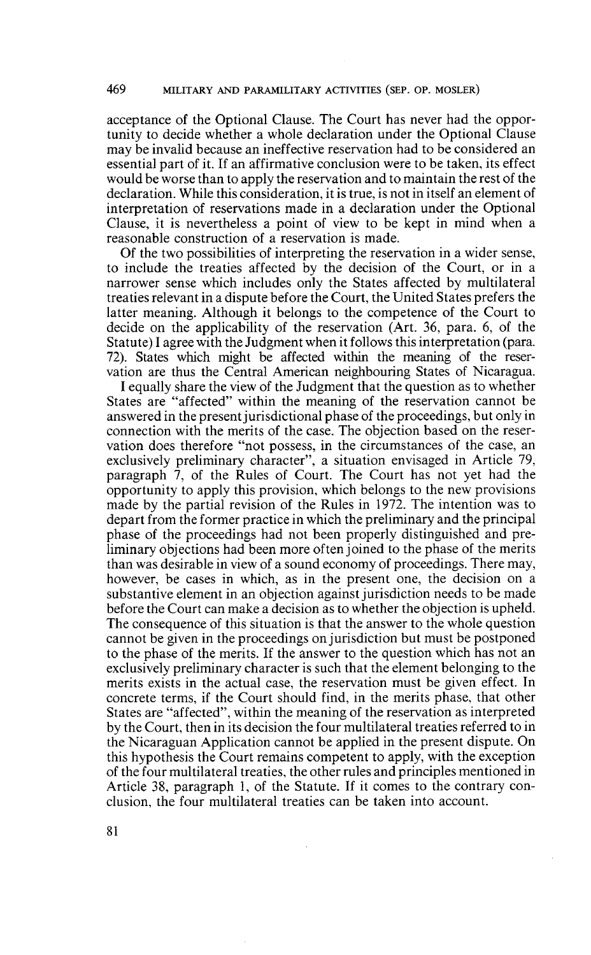acceptance of the Optional Clause. The Court has never had the opportunity to decide whether a whole declaration under the Optional Clause may be invalid because an ineffective reservation had to be considered an essential part of it. If an affirmative conclusion were to be taken, its effect would be worse than to apply the reservation and to maintain the rest of the declaration. While this consideration, it is true, is not in itself an element of interpretation of reservations made in a declaration under the Optional Clause, it is nevertheless a point of view to be kept in mind when a reasonable construction of a reservation is made.

Of the two possibilities of interpreting the reservation in a wider sense, to include the treaties affected by the decision of the Court, or in a narrower sense which includes only the States affected by multilateral treaties relevant in a dispute before the Court, the United States prefers the latter meaning. Although it belongs to the competence of the Court to decide on the applicability of the reservation (Art. 36, para. 6, of the Statute) 1 agree with the Judgment when it follows this interpretation (para. 72). States which rnight be affected withm the meaning of the reservation are thus the Central American neighbouring States of Nicaragua.

1 equally share the view of the Judgment that the question as to whether States are "affected" within the meaning of the reservation cannot be answered in the present jurisdictional phase of the proceedings, but only in connection with the merits of the case. The objection based on the reservation does therefore "not possess, in the circumstances of the case, an exclusively preliminary character", a situation envisaged in Article 79, paragraph 7, of the Rules of Court. The Court has not yet had the opportunity to apply this provision, which belongs to the new provisions made by the partial revision of the Rules in 1972. The intention was to depart from the former practice in which the preliminary and the principal phase of the proceedings had not been properly distinguished and preliminary objections had been more often joined to the phase of the merits than was desirable in view of a sound economy of proceedings. There may, however, be cases in which, as in the present one, the decision on a substantive element in an objection against jurisdiction needs to be made before the Court can make a decision as to whether the objection is upheld. The consequence of this situation is that the answer to the whole question cannot be given in the proceedings on jurisdiction but must be postponed to the phase of the merits. If the answer to the question which has not an exclusively preliminary character is such that the element belonging to the merits exists in the actual case, the reservation must be given effect. In concrete terms, if the Court should find, in the merits phase, that other States are "affected", within the meaning of the reservation as interpreted by the Court, then in its decision the four multilateral treaties referred to in the Nicaraguan Application cannot be applied in the present dispute. On this hypothesis the Court remains competent to apply, with the exception of the four multilateral treaties, the other rules and principles mentioned in Article 38, paragraph 1, of the Statute. If it comes to the contrary conclusion, the four multilateral treaties can be taken into account.

81